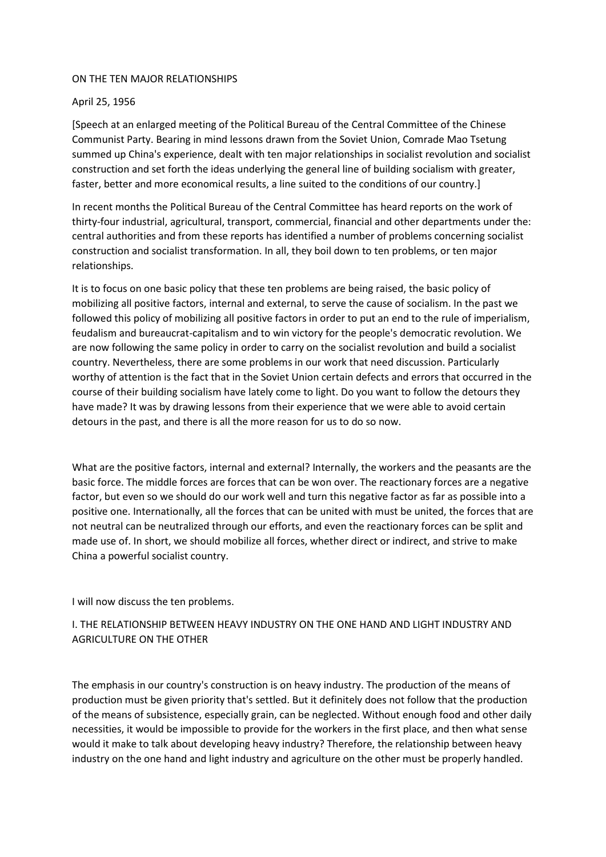### ON THE TEN MAJOR RELATIONSHIPS

### April 25, 1956

[Speech at an enlarged meeting of the Political Bureau of the Central Committee of the Chinese Communist Party. Bearing in mind lessons drawn from the Soviet Union, Comrade Mao Tsetung summed up China's experience, dealt with ten major relationships in socialist revolution and socialist construction and set forth the ideas underlying the general line of building socialism with greater, faster, better and more economical results, a line suited to the conditions of our country.]

In recent months the Political Bureau of the Central Committee has heard reports on the work of thirty-four industrial, agricultural, transport, commercial, financial and other departments under the: central authorities and from these reports has identified a number of problems concerning socialist construction and socialist transformation. In all, they boil down to ten problems, or ten major relationships.

It is to focus on one basic policy that these ten problems are being raised, the basic policy of mobilizing all positive factors, internal and external, to serve the cause of socialism. In the past we followed this policy of mobilizing all positive factors in order to put an end to the rule of imperialism, feudalism and bureaucrat-capitalism and to win victory for the people's democratic revolution. We are now following the same policy in order to carry on the socialist revolution and build a socialist country. Nevertheless, there are some problems in our work that need discussion. Particularly worthy of attention is the fact that in the Soviet Union certain defects and errors that occurred in the course of their building socialism have lately come to light. Do you want to follow the detours they have made? It was by drawing lessons from their experience that we were able to avoid certain detours in the past, and there is all the more reason for us to do so now.

What are the positive factors, internal and external? Internally, the workers and the peasants are the basic force. The middle forces are forces that can be won over. The reactionary forces are a negative factor, but even so we should do our work well and turn this negative factor as far as possible into a positive one. Internationally, all the forces that can be united with must be united, the forces that are not neutral can be neutralized through our efforts, and even the reactionary forces can be split and made use of. In short, we should mobilize all forces, whether direct or indirect, and strive to make China a powerful socialist country.

I will now discuss the ten problems.

# I. THE RELATIONSHIP BETWEEN HEAVY INDUSTRY ON THE ONE HAND AND LIGHT INDUSTRY AND AGRICULTURE ON THE OTHER

The emphasis in our country's construction is on heavy industry. The production of the means of production must be given priority that's settled. But it definitely does not follow that the production of the means of subsistence, especially grain, can be neglected. Without enough food and other daily necessities, it would be impossible to provide for the workers in the first place, and then what sense would it make to talk about developing heavy industry? Therefore, the relationship between heavy industry on the one hand and light industry and agriculture on the other must be properly handled.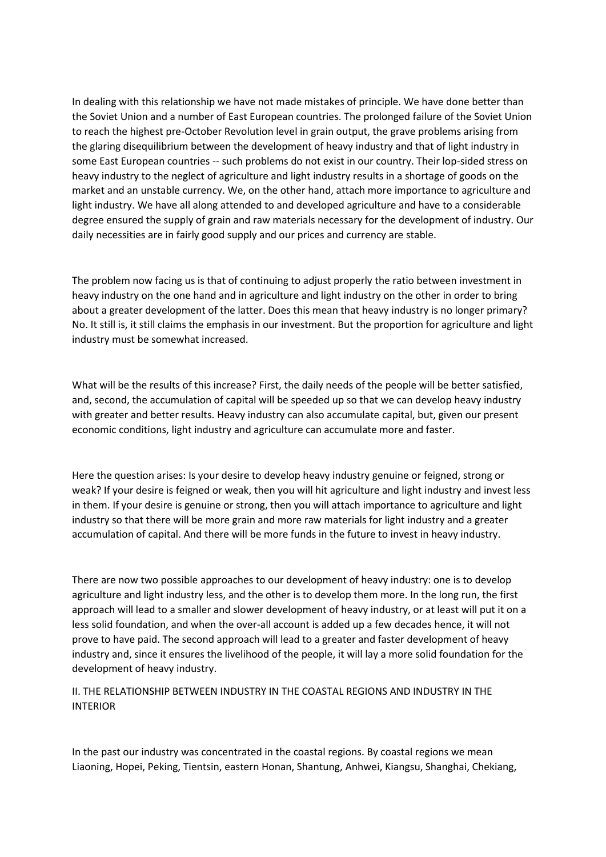In dealing with this relationship we have not made mistakes of principle. We have done better than the Soviet Union and a number of East European countries. The prolonged failure of the Soviet Union to reach the highest pre-October Revolution level in grain output, the grave problems arising from the glaring disequilibrium between the development of heavy industry and that of light industry in some East European countries -- such problems do not exist in our country. Their lop-sided stress on heavy industry to the neglect of agriculture and light industry results in a shortage of goods on the market and an unstable currency. We, on the other hand, attach more importance to agriculture and light industry. We have all along attended to and developed agriculture and have to a considerable degree ensured the supply of grain and raw materials necessary for the development of industry. Our daily necessities are in fairly good supply and our prices and currency are stable.

The problem now facing us is that of continuing to adjust properly the ratio between investment in heavy industry on the one hand and in agriculture and light industry on the other in order to bring about a greater development of the latter. Does this mean that heavy industry is no longer primary? No. It still is, it still claims the emphasis in our investment. But the proportion for agriculture and light industry must be somewhat increased.

What will be the results of this increase? First, the daily needs of the people will be better satisfied, and, second, the accumulation of capital will be speeded up so that we can develop heavy industry with greater and better results. Heavy industry can also accumulate capital, but, given our present economic conditions, light industry and agriculture can accumulate more and faster.

Here the question arises: Is your desire to develop heavy industry genuine or feigned, strong or weak? If your desire is feigned or weak, then you will hit agriculture and light industry and invest less in them. If your desire is genuine or strong, then you will attach importance to agriculture and light industry so that there will be more grain and more raw materials for light industry and a greater accumulation of capital. And there will be more funds in the future to invest in heavy industry.

There are now two possible approaches to our development of heavy industry: one is to develop agriculture and light industry less, and the other is to develop them more. In the long run, the first approach will lead to a smaller and slower development of heavy industry, or at least will put it on a less solid foundation, and when the over-all account is added up a few decades hence, it will not prove to have paid. The second approach will lead to a greater and faster development of heavy industry and, since it ensures the livelihood of the people, it will lay a more solid foundation for the development of heavy industry.

# II. THE RELATIONSHIP BETWEEN INDUSTRY IN THE COASTAL REGIONS AND INDUSTRY IN THE INTERIOR

In the past our industry was concentrated in the coastal regions. By coastal regions we mean Liaoning, Hopei, Peking, Tientsin, eastern Honan, Shantung, Anhwei, Kiangsu, Shanghai, Chekiang,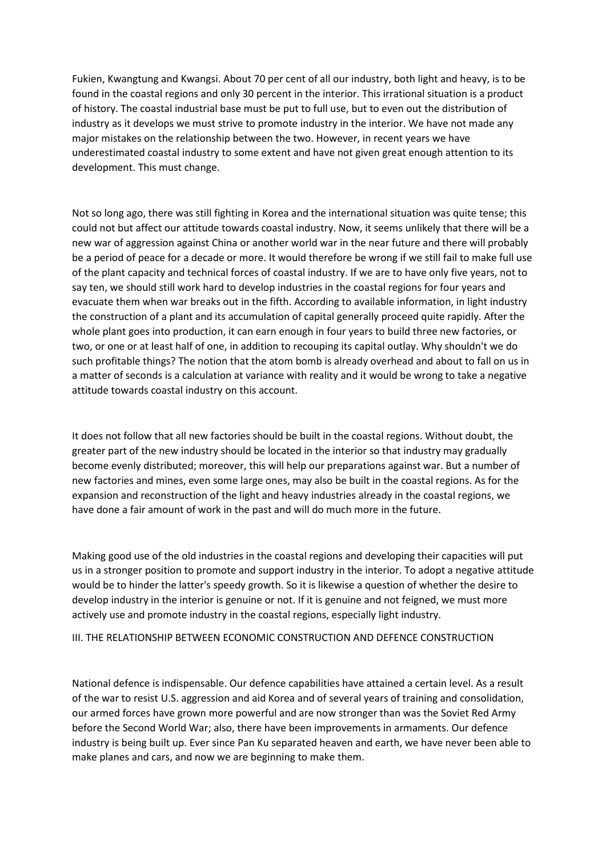Fukien, Kwangtung and Kwangsi. About 70 per cent of all our industry, both light and heavy, is to be found in the coastal regions and only 30 percent in the interior. This irrational situation is a product of history. The coastal industrial base must be put to full use, but to even out the distribution of industry as it develops we must strive to promote industry in the interior. We have not made any major mistakes on the relationship between the two. However, in recent years we have underestimated coastal industry to some extent and have not given great enough attention to its development. This must change.

Not so long ago, there was still fighting in Korea and the international situation was quite tense; this could not but affect our attitude towards coastal industry. Now, it seems unlikely that there will be a new war of aggression against China or another world war in the near future and there will probably be a period of peace for a decade or more. It would therefore be wrong if we still fail to make full use of the plant capacity and technical forces of coastal industry. If we are to have only five years, not to say ten, we should still work hard to develop industries in the coastal regions for four years and evacuate them when war breaks out in the fifth. According to available information, in light industry the construction of a plant and its accumulation of capital generally proceed quite rapidly. After the whole plant goes into production, it can earn enough in four years to build three new factories, or two, or one or at least half of one, in addition to recouping its capital outlay. Why shouldn't we do such profitable things? The notion that the atom bomb is already overhead and about to fall on us in a matter of seconds is a calculation at variance with reality and it would be wrong to take a negative attitude towards coastal industry on this account.

It does not follow that all new factories should be built in the coastal regions. Without doubt, the greater part of the new industry should be located in the interior so that industry may gradually become evenly distributed; moreover, this will help our preparations against war. But a number of new factories and mines, even some large ones, may also be built in the coastal regions. As for the expansion and reconstruction of the light and heavy industries already in the coastal regions, we have done a fair amount of work in the past and will do much more in the future.

Making good use of the old industries in the coastal regions and developing their capacities will put us in a stronger position to promote and support industry in the interior. To adopt a negative attitude would be to hinder the latter's speedy growth. So it is likewise a question of whether the desire to develop industry in the interior is genuine or not. If it is genuine and not feigned, we must more actively use and promote industry in the coastal regions, especially light industry.

## III. THE RELATIONSHIP BETWEEN ECONOMIC CONSTRUCTION AND DEFENCE CONSTRUCTION

National defence is indispensable. Our defence capabilities have attained a certain level. As a result of the war to resist U.S. aggression and aid Korea and of several years of training and consolidation, our armed forces have grown more powerful and are now stronger than was the Soviet Red Army before the Second World War; also, there have been improvements in armaments. Our defence industry is being built up. Ever since Pan Ku separated heaven and earth, we have never been able to make planes and cars, and now we are beginning to make them.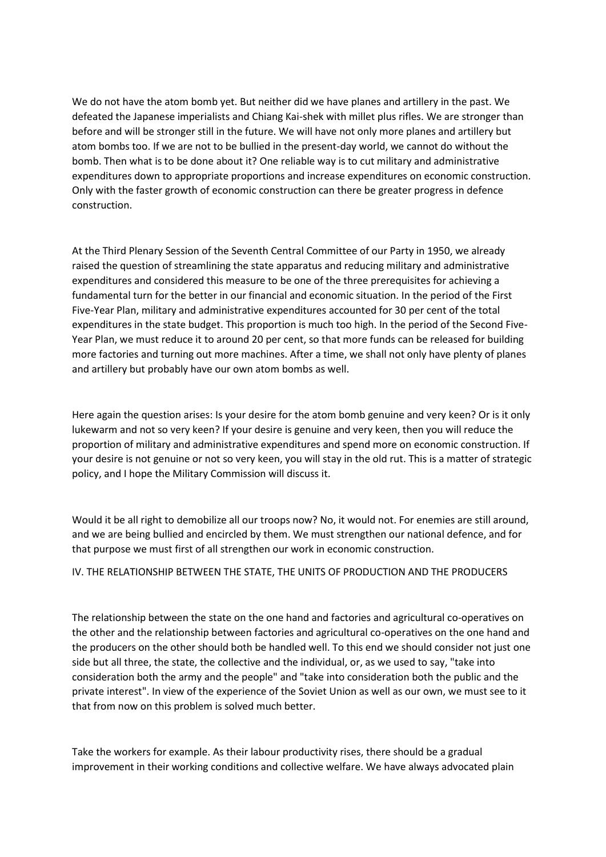We do not have the atom bomb yet. But neither did we have planes and artillery in the past. We defeated the Japanese imperialists and Chiang Kai-shek with millet plus rifles. We are stronger than before and will be stronger still in the future. We will have not only more planes and artillery but atom bombs too. If we are not to be bullied in the present-day world, we cannot do without the bomb. Then what is to be done about it? One reliable way is to cut military and administrative expenditures down to appropriate proportions and increase expenditures on economic construction. Only with the faster growth of economic construction can there be greater progress in defence construction.

At the Third Plenary Session of the Seventh Central Committee of our Party in 1950, we already raised the question of streamlining the state apparatus and reducing military and administrative expenditures and considered this measure to be one of the three prerequisites for achieving a fundamental turn for the better in our financial and economic situation. In the period of the First Five-Year Plan, military and administrative expenditures accounted for 30 per cent of the total expenditures in the state budget. This proportion is much too high. In the period of the Second Five-Year Plan, we must reduce it to around 20 per cent, so that more funds can be released for building more factories and turning out more machines. After a time, we shall not only have plenty of planes and artillery but probably have our own atom bombs as well.

Here again the question arises: Is your desire for the atom bomb genuine and very keen? Or is it only lukewarm and not so very keen? If your desire is genuine and very keen, then you will reduce the proportion of military and administrative expenditures and spend more on economic construction. If your desire is not genuine or not so very keen, you will stay in the old rut. This is a matter of strategic policy, and I hope the Military Commission will discuss it.

Would it be all right to demobilize all our troops now? No, it would not. For enemies are still around, and we are being bullied and encircled by them. We must strengthen our national defence, and for that purpose we must first of all strengthen our work in economic construction.

## IV. THE RELATIONSHIP BETWEEN THE STATE, THE UNITS OF PRODUCTION AND THE PRODUCERS

The relationship between the state on the one hand and factories and agricultural co-operatives on the other and the relationship between factories and agricultural co-operatives on the one hand and the producers on the other should both be handled well. To this end we should consider not just one side but all three, the state, the collective and the individual, or, as we used to say, "take into consideration both the army and the people" and "take into consideration both the public and the private interest". In view of the experience of the Soviet Union as well as our own, we must see to it that from now on this problem is solved much better.

Take the workers for example. As their labour productivity rises, there should be a gradual improvement in their working conditions and collective welfare. We have always advocated plain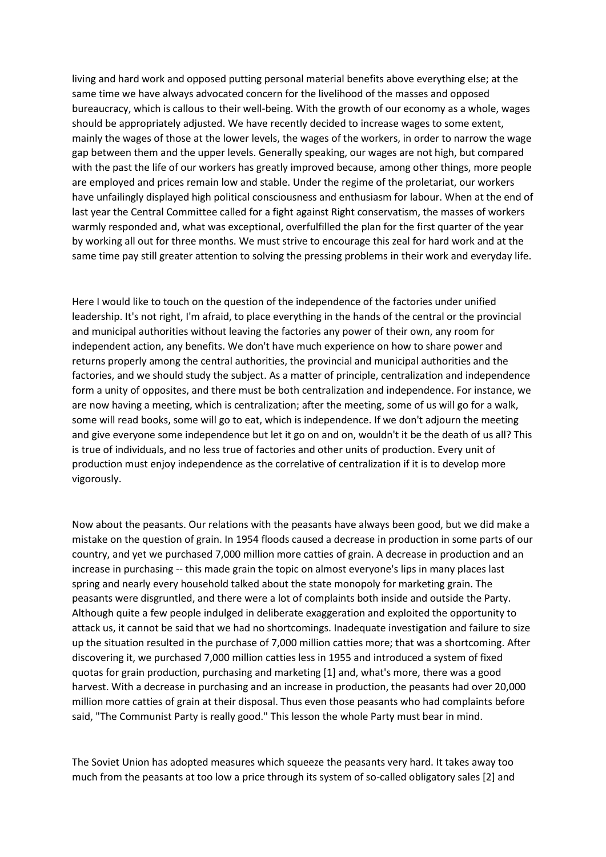living and hard work and opposed putting personal material benefits above everything else; at the same time we have always advocated concern for the livelihood of the masses and opposed bureaucracy, which is callous to their well-being. With the growth of our economy as a whole, wages should be appropriately adjusted. We have recently decided to increase wages to some extent, mainly the wages of those at the lower levels, the wages of the workers, in order to narrow the wage gap between them and the upper levels. Generally speaking, our wages are not high, but compared with the past the life of our workers has greatly improved because, among other things, more people are employed and prices remain low and stable. Under the regime of the proletariat, our workers have unfailingly displayed high political consciousness and enthusiasm for labour. When at the end of last year the Central Committee called for a fight against Right conservatism, the masses of workers warmly responded and, what was exceptional, overfulfilled the plan for the first quarter of the year by working all out for three months. We must strive to encourage this zeal for hard work and at the same time pay still greater attention to solving the pressing problems in their work and everyday life.

Here I would like to touch on the question of the independence of the factories under unified leadership. It's not right, I'm afraid, to place everything in the hands of the central or the provincial and municipal authorities without leaving the factories any power of their own, any room for independent action, any benefits. We don't have much experience on how to share power and returns properly among the central authorities, the provincial and municipal authorities and the factories, and we should study the subject. As a matter of principle, centralization and independence form a unity of opposites, and there must be both centralization and independence. For instance, we are now having a meeting, which is centralization; after the meeting, some of us will go for a walk, some will read books, some will go to eat, which is independence. If we don't adjourn the meeting and give everyone some independence but let it go on and on, wouldn't it be the death of us all? This is true of individuals, and no less true of factories and other units of production. Every unit of production must enjoy independence as the correlative of centralization if it is to develop more vigorously.

Now about the peasants. Our relations with the peasants have always been good, but we did make a mistake on the question of grain. In 1954 floods caused a decrease in production in some parts of our country, and yet we purchased 7,000 million more catties of grain. A decrease in production and an increase in purchasing -- this made grain the topic on almost everyone's lips in many places last spring and nearly every household talked about the state monopoly for marketing grain. The peasants were disgruntled, and there were a lot of complaints both inside and outside the Party. Although quite a few people indulged in deliberate exaggeration and exploited the opportunity to attack us, it cannot be said that we had no shortcomings. Inadequate investigation and failure to size up the situation resulted in the purchase of 7,000 million catties more; that was a shortcoming. After discovering it, we purchased 7,000 million catties less in 1955 and introduced a system of fixed quotas for grain production, purchasing and marketing [1] and, what's more, there was a good harvest. With a decrease in purchasing and an increase in production, the peasants had over 20,000 million more catties of grain at their disposal. Thus even those peasants who had complaints before said, "The Communist Party is really good." This lesson the whole Party must bear in mind.

The Soviet Union has adopted measures which squeeze the peasants very hard. It takes away too much from the peasants at too low a price through its system of so-called obligatory sales [2] and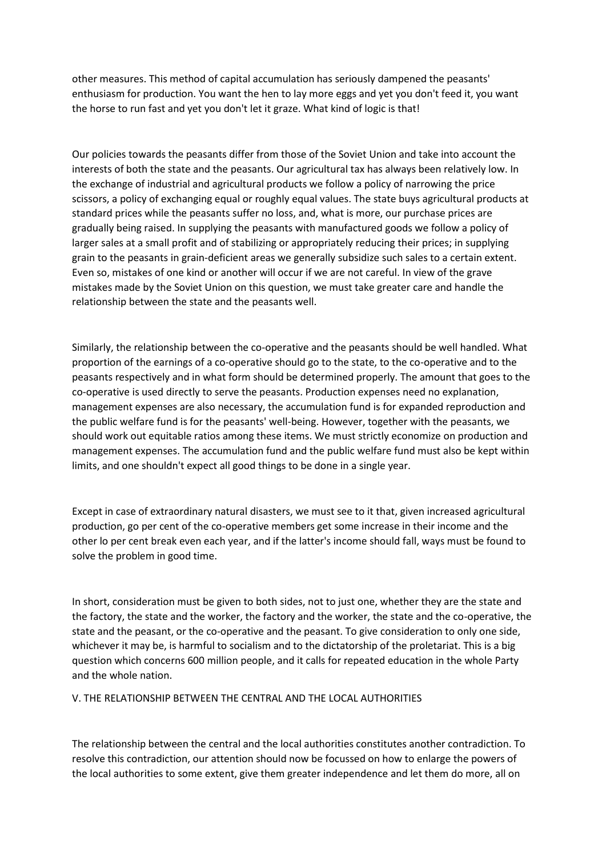other measures. This method of capital accumulation has seriously dampened the peasants' enthusiasm for production. You want the hen to lay more eggs and yet you don't feed it, you want the horse to run fast and yet you don't let it graze. What kind of logic is that!

Our policies towards the peasants differ from those of the Soviet Union and take into account the interests of both the state and the peasants. Our agricultural tax has always been relatively low. In the exchange of industrial and agricultural products we follow a policy of narrowing the price scissors, a policy of exchanging equal or roughly equal values. The state buys agricultural products at standard prices while the peasants suffer no loss, and, what is more, our purchase prices are gradually being raised. In supplying the peasants with manufactured goods we follow a policy of larger sales at a small profit and of stabilizing or appropriately reducing their prices; in supplying grain to the peasants in grain-deficient areas we generally subsidize such sales to a certain extent. Even so, mistakes of one kind or another will occur if we are not careful. In view of the grave mistakes made by the Soviet Union on this question, we must take greater care and handle the relationship between the state and the peasants well.

Similarly, the relationship between the co-operative and the peasants should be well handled. What proportion of the earnings of a co-operative should go to the state, to the co-operative and to the peasants respectively and in what form should be determined properly. The amount that goes to the co-operative is used directly to serve the peasants. Production expenses need no explanation, management expenses are also necessary, the accumulation fund is for expanded reproduction and the public welfare fund is for the peasants' well-being. However, together with the peasants, we should work out equitable ratios among these items. We must strictly economize on production and management expenses. The accumulation fund and the public welfare fund must also be kept within limits, and one shouldn't expect all good things to be done in a single year.

Except in case of extraordinary natural disasters, we must see to it that, given increased agricultural production, go per cent of the co-operative members get some increase in their income and the other lo per cent break even each year, and if the latter's income should fall, ways must be found to solve the problem in good time.

In short, consideration must be given to both sides, not to just one, whether they are the state and the factory, the state and the worker, the factory and the worker, the state and the co-operative, the state and the peasant, or the co-operative and the peasant. To give consideration to only one side, whichever it may be, is harmful to socialism and to the dictatorship of the proletariat. This is a big question which concerns 600 million people, and it calls for repeated education in the whole Party and the whole nation.

V. THE RELATIONSHIP BETWEEN THE CENTRAL AND THE LOCAL AUTHORITIES

The relationship between the central and the local authorities constitutes another contradiction. To resolve this contradiction, our attention should now be focussed on how to enlarge the powers of the local authorities to some extent, give them greater independence and let them do more, all on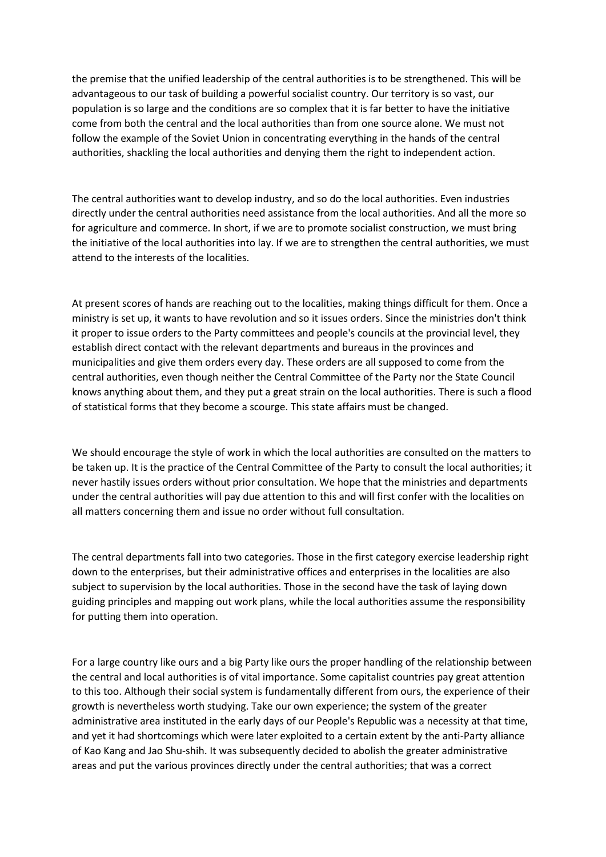the premise that the unified leadership of the central authorities is to be strengthened. This will be advantageous to our task of building a powerful socialist country. Our territory is so vast, our population is so large and the conditions are so complex that it is far better to have the initiative come from both the central and the local authorities than from one source alone. We must not follow the example of the Soviet Union in concentrating everything in the hands of the central authorities, shackling the local authorities and denying them the right to independent action.

The central authorities want to develop industry, and so do the local authorities. Even industries directly under the central authorities need assistance from the local authorities. And all the more so for agriculture and commerce. In short, if we are to promote socialist construction, we must bring the initiative of the local authorities into lay. If we are to strengthen the central authorities, we must attend to the interests of the localities.

At present scores of hands are reaching out to the localities, making things difficult for them. Once a ministry is set up, it wants to have revolution and so it issues orders. Since the ministries don't think it proper to issue orders to the Party committees and people's councils at the provincial level, they establish direct contact with the relevant departments and bureaus in the provinces and municipalities and give them orders every day. These orders are all supposed to come from the central authorities, even though neither the Central Committee of the Party nor the State Council knows anything about them, and they put a great strain on the local authorities. There is such a flood of statistical forms that they become a scourge. This state affairs must be changed.

We should encourage the style of work in which the local authorities are consulted on the matters to be taken up. It is the practice of the Central Committee of the Party to consult the local authorities; it never hastily issues orders without prior consultation. We hope that the ministries and departments under the central authorities will pay due attention to this and will first confer with the localities on all matters concerning them and issue no order without full consultation.

The central departments fall into two categories. Those in the first category exercise leadership right down to the enterprises, but their administrative offices and enterprises in the localities are also subject to supervision by the local authorities. Those in the second have the task of laying down guiding principles and mapping out work plans, while the local authorities assume the responsibility for putting them into operation.

For a large country like ours and a big Party like ours the proper handling of the relationship between the central and local authorities is of vital importance. Some capitalist countries pay great attention to this too. Although their social system is fundamentally different from ours, the experience of their growth is nevertheless worth studying. Take our own experience; the system of the greater administrative area instituted in the early days of our People's Republic was a necessity at that time, and yet it had shortcomings which were later exploited to a certain extent by the anti-Party alliance of Kao Kang and Jao Shu-shih. It was subsequently decided to abolish the greater administrative areas and put the various provinces directly under the central authorities; that was a correct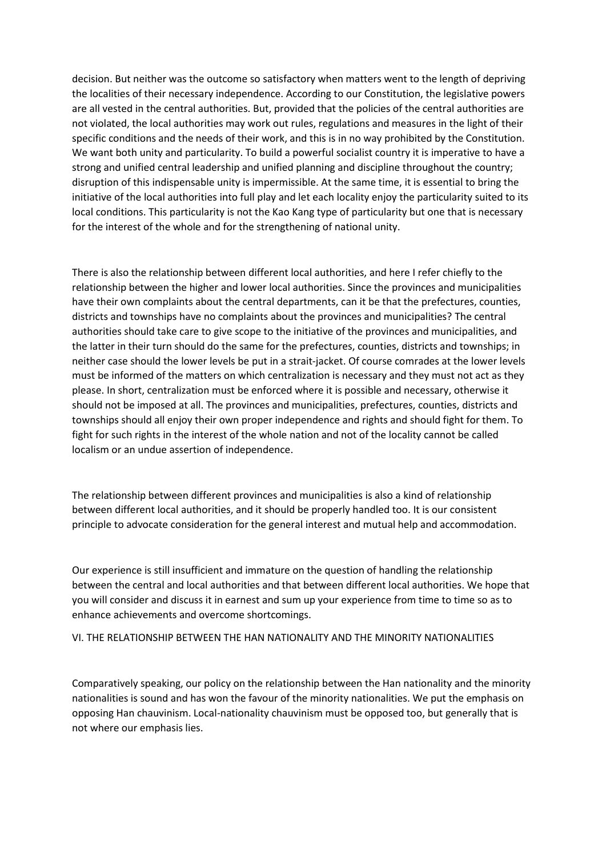decision. But neither was the outcome so satisfactory when matters went to the length of depriving the localities of their necessary independence. According to our Constitution, the legislative powers are all vested in the central authorities. But, provided that the policies of the central authorities are not violated, the local authorities may work out rules, regulations and measures in the light of their specific conditions and the needs of their work, and this is in no way prohibited by the Constitution. We want both unity and particularity. To build a powerful socialist country it is imperative to have a strong and unified central leadership and unified planning and discipline throughout the country; disruption of this indispensable unity is impermissible. At the same time, it is essential to bring the initiative of the local authorities into full play and let each locality enjoy the particularity suited to its local conditions. This particularity is not the Kao Kang type of particularity but one that is necessary for the interest of the whole and for the strengthening of national unity.

There is also the relationship between different local authorities, and here I refer chiefly to the relationship between the higher and lower local authorities. Since the provinces and municipalities have their own complaints about the central departments, can it be that the prefectures, counties, districts and townships have no complaints about the provinces and municipalities? The central authorities should take care to give scope to the initiative of the provinces and municipalities, and the latter in their turn should do the same for the prefectures, counties, districts and townships; in neither case should the lower levels be put in a strait-jacket. Of course comrades at the lower levels must be informed of the matters on which centralization is necessary and they must not act as they please. In short, centralization must be enforced where it is possible and necessary, otherwise it should not be imposed at all. The provinces and municipalities, prefectures, counties, districts and townships should all enjoy their own proper independence and rights and should fight for them. To fight for such rights in the interest of the whole nation and not of the locality cannot be called localism or an undue assertion of independence.

The relationship between different provinces and municipalities is also a kind of relationship between different local authorities, and it should be properly handled too. It is our consistent principle to advocate consideration for the general interest and mutual help and accommodation.

Our experience is still insufficient and immature on the question of handling the relationship between the central and local authorities and that between different local authorities. We hope that you will consider and discuss it in earnest and sum up your experience from time to time so as to enhance achievements and overcome shortcomings.

VI. THE RELATIONSHIP BETWEEN THE HAN NATIONALITY AND THE MINORITY NATIONALITIES

Comparatively speaking, our policy on the relationship between the Han nationality and the minority nationalities is sound and has won the favour of the minority nationalities. We put the emphasis on opposing Han chauvinism. Local-nationality chauvinism must be opposed too, but generally that is not where our emphasis lies.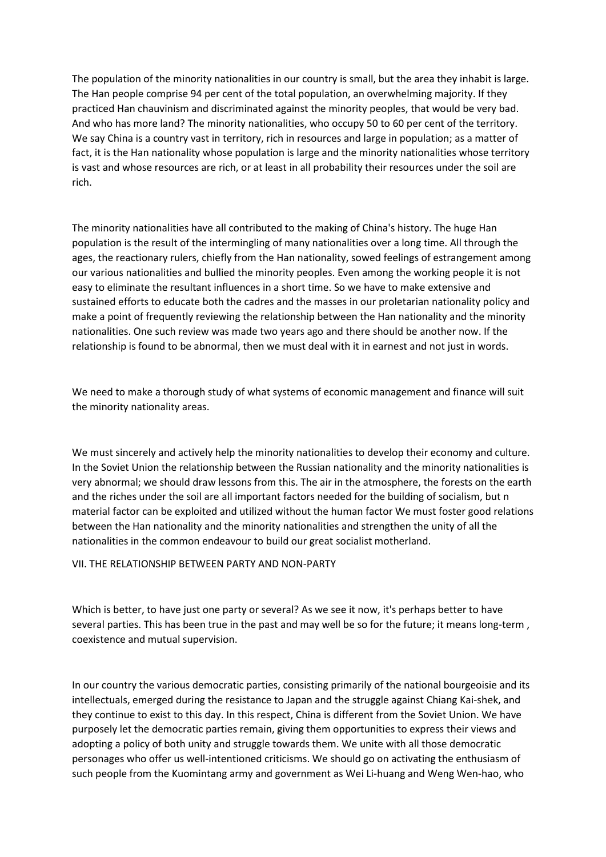The population of the minority nationalities in our country is small, but the area they inhabit is large. The Han people comprise 94 per cent of the total population, an overwhelming majority. If they practiced Han chauvinism and discriminated against the minority peoples, that would be very bad. And who has more land? The minority nationalities, who occupy 50 to 60 per cent of the territory. We say China is a country vast in territory, rich in resources and large in population; as a matter of fact, it is the Han nationality whose population is large and the minority nationalities whose territory is vast and whose resources are rich, or at least in all probability their resources under the soil are rich.

The minority nationalities have all contributed to the making of China's history. The huge Han population is the result of the intermingling of many nationalities over a long time. All through the ages, the reactionary rulers, chiefly from the Han nationality, sowed feelings of estrangement among our various nationalities and bullied the minority peoples. Even among the working people it is not easy to eliminate the resultant influences in a short time. So we have to make extensive and sustained efforts to educate both the cadres and the masses in our proletarian nationality policy and make a point of frequently reviewing the relationship between the Han nationality and the minority nationalities. One such review was made two years ago and there should be another now. If the relationship is found to be abnormal, then we must deal with it in earnest and not just in words.

We need to make a thorough study of what systems of economic management and finance will suit the minority nationality areas.

We must sincerely and actively help the minority nationalities to develop their economy and culture. In the Soviet Union the relationship between the Russian nationality and the minority nationalities is very abnormal; we should draw lessons from this. The air in the atmosphere, the forests on the earth and the riches under the soil are all important factors needed for the building of socialism, but n material factor can be exploited and utilized without the human factor We must foster good relations between the Han nationality and the minority nationalities and strengthen the unity of all the nationalities in the common endeavour to build our great socialist motherland.

### VII. THE RELATIONSHIP BETWEEN PARTY AND NON-PARTY

Which is better, to have just one party or several? As we see it now, it's perhaps better to have several parties. This has been true in the past and may well be so for the future; it means long-term , coexistence and mutual supervision.

In our country the various democratic parties, consisting primarily of the national bourgeoisie and its intellectuals, emerged during the resistance to Japan and the struggle against Chiang Kai-shek, and they continue to exist to this day. In this respect, China is different from the Soviet Union. We have purposely let the democratic parties remain, giving them opportunities to express their views and adopting a policy of both unity and struggle towards them. We unite with all those democratic personages who offer us well-intentioned criticisms. We should go on activating the enthusiasm of such people from the Kuomintang army and government as Wei Li-huang and Weng Wen-hao, who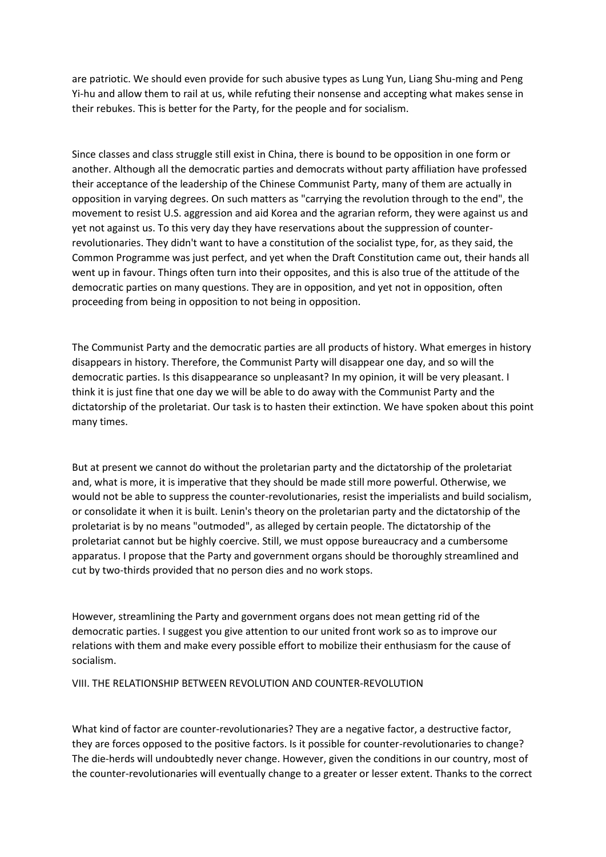are patriotic. We should even provide for such abusive types as Lung Yun, Liang Shu-ming and Peng Yi-hu and allow them to rail at us, while refuting their nonsense and accepting what makes sense in their rebukes. This is better for the Party, for the people and for socialism.

Since classes and class struggle still exist in China, there is bound to be opposition in one form or another. Although all the democratic parties and democrats without party affiliation have professed their acceptance of the leadership of the Chinese Communist Party, many of them are actually in opposition in varying degrees. On such matters as "carrying the revolution through to the end", the movement to resist U.S. aggression and aid Korea and the agrarian reform, they were against us and yet not against us. To this very day they have reservations about the suppression of counterrevolutionaries. They didn't want to have a constitution of the socialist type, for, as they said, the Common Programme was just perfect, and yet when the Draft Constitution came out, their hands all went up in favour. Things often turn into their opposites, and this is also true of the attitude of the democratic parties on many questions. They are in opposition, and yet not in opposition, often proceeding from being in opposition to not being in opposition.

The Communist Party and the democratic parties are all products of history. What emerges in history disappears in history. Therefore, the Communist Party will disappear one day, and so will the democratic parties. Is this disappearance so unpleasant? In my opinion, it will be very pleasant. I think it is just fine that one day we will be able to do away with the Communist Party and the dictatorship of the proletariat. Our task is to hasten their extinction. We have spoken about this point many times.

But at present we cannot do without the proletarian party and the dictatorship of the proletariat and, what is more, it is imperative that they should be made still more powerful. Otherwise, we would not be able to suppress the counter-revolutionaries, resist the imperialists and build socialism, or consolidate it when it is built. Lenin's theory on the proletarian party and the dictatorship of the proletariat is by no means "outmoded", as alleged by certain people. The dictatorship of the proletariat cannot but be highly coercive. Still, we must oppose bureaucracy and a cumbersome apparatus. I propose that the Party and government organs should be thoroughly streamlined and cut by two-thirds provided that no person dies and no work stops.

However, streamlining the Party and government organs does not mean getting rid of the democratic parties. I suggest you give attention to our united front work so as to improve our relations with them and make every possible effort to mobilize their enthusiasm for the cause of socialism.

VIII. THE RELATIONSHIP BETWEEN REVOLUTION AND COUNTER-REVOLUTION

What kind of factor are counter-revolutionaries? They are a negative factor, a destructive factor, they are forces opposed to the positive factors. Is it possible for counter-revolutionaries to change? The die-herds will undoubtedly never change. However, given the conditions in our country, most of the counter-revolutionaries will eventually change to a greater or lesser extent. Thanks to the correct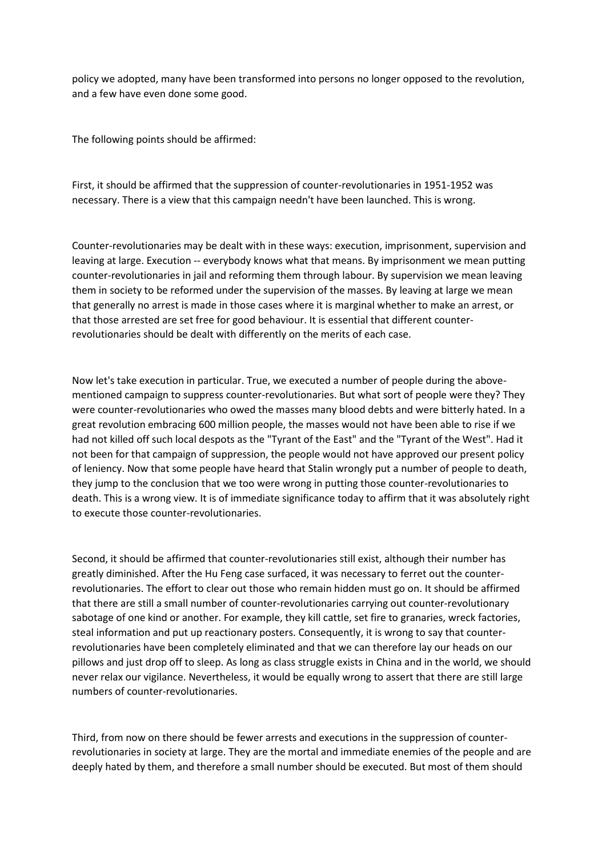policy we adopted, many have been transformed into persons no longer opposed to the revolution, and a few have even done some good.

The following points should be affirmed:

First, it should be affirmed that the suppression of counter-revolutionaries in 1951-1952 was necessary. There is a view that this campaign needn't have been launched. This is wrong.

Counter-revolutionaries may be dealt with in these ways: execution, imprisonment, supervision and leaving at large. Execution -- everybody knows what that means. By imprisonment we mean putting counter-revolutionaries in jail and reforming them through labour. By supervision we mean leaving them in society to be reformed under the supervision of the masses. By leaving at large we mean that generally no arrest is made in those cases where it is marginal whether to make an arrest, or that those arrested are set free for good behaviour. It is essential that different counterrevolutionaries should be dealt with differently on the merits of each case.

Now let's take execution in particular. True, we executed a number of people during the abovementioned campaign to suppress counter-revolutionaries. But what sort of people were they? They were counter-revolutionaries who owed the masses many blood debts and were bitterly hated. In a great revolution embracing 600 million people, the masses would not have been able to rise if we had not killed off such local despots as the "Tyrant of the East" and the "Tyrant of the West". Had it not been for that campaign of suppression, the people would not have approved our present policy of leniency. Now that some people have heard that Stalin wrongly put a number of people to death, they jump to the conclusion that we too were wrong in putting those counter-revolutionaries to death. This is a wrong view. It is of immediate significance today to affirm that it was absolutely right to execute those counter-revolutionaries.

Second, it should be affirmed that counter-revolutionaries still exist, although their number has greatly diminished. After the Hu Feng case surfaced, it was necessary to ferret out the counterrevolutionaries. The effort to clear out those who remain hidden must go on. It should be affirmed that there are still a small number of counter-revolutionaries carrying out counter-revolutionary sabotage of one kind or another. For example, they kill cattle, set fire to granaries, wreck factories, steal information and put up reactionary posters. Consequently, it is wrong to say that counterrevolutionaries have been completely eliminated and that we can therefore lay our heads on our pillows and just drop off to sleep. As long as class struggle exists in China and in the world, we should never relax our vigilance. Nevertheless, it would be equally wrong to assert that there are still large numbers of counter-revolutionaries.

Third, from now on there should be fewer arrests and executions in the suppression of counterrevolutionaries in society at large. They are the mortal and immediate enemies of the people and are deeply hated by them, and therefore a small number should be executed. But most of them should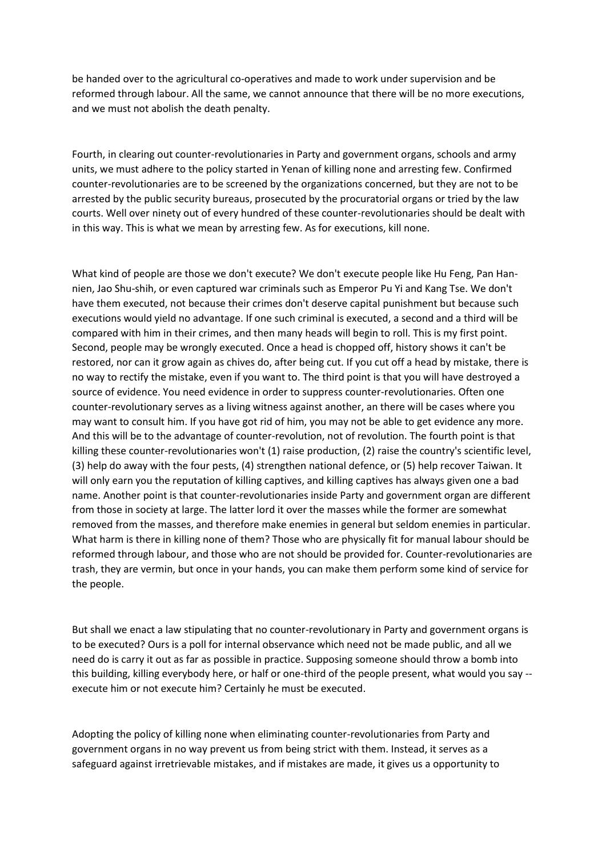be handed over to the agricultural co-operatives and made to work under supervision and be reformed through labour. All the same, we cannot announce that there will be no more executions, and we must not abolish the death penalty.

Fourth, in clearing out counter-revolutionaries in Party and government organs, schools and army units, we must adhere to the policy started in Yenan of killing none and arresting few. Confirmed counter-revolutionaries are to be screened by the organizations concerned, but they are not to be arrested by the public security bureaus, prosecuted by the procuratorial organs or tried by the law courts. Well over ninety out of every hundred of these counter-revolutionaries should be dealt with in this way. This is what we mean by arresting few. As for executions, kill none.

What kind of people are those we don't execute? We don't execute people like Hu Feng, Pan Hannien, Jao Shu-shih, or even captured war criminals such as Emperor Pu Yi and Kang Tse. We don't have them executed, not because their crimes don't deserve capital punishment but because such executions would yield no advantage. If one such criminal is executed, a second and a third will be compared with him in their crimes, and then many heads will begin to roll. This is my first point. Second, people may be wrongly executed. Once a head is chopped off, history shows it can't be restored, nor can it grow again as chives do, after being cut. If you cut off a head by mistake, there is no way to rectify the mistake, even if you want to. The third point is that you will have destroyed a source of evidence. You need evidence in order to suppress counter-revolutionaries. Often one counter-revolutionary serves as a living witness against another, an there will be cases where you may want to consult him. If you have got rid of him, you may not be able to get evidence any more. And this will be to the advantage of counter-revolution, not of revolution. The fourth point is that killing these counter-revolutionaries won't (1) raise production, (2) raise the country's scientific level, (3) help do away with the four pests, (4) strengthen national defence, or (5) help recover Taiwan. It will only earn you the reputation of killing captives, and killing captives has always given one a bad name. Another point is that counter-revolutionaries inside Party and government organ are different from those in society at large. The latter lord it over the masses while the former are somewhat removed from the masses, and therefore make enemies in general but seldom enemies in particular. What harm is there in killing none of them? Those who are physically fit for manual labour should be reformed through labour, and those who are not should be provided for. Counter-revolutionaries are trash, they are vermin, but once in your hands, you can make them perform some kind of service for the people.

But shall we enact a law stipulating that no counter-revolutionary in Party and government organs is to be executed? Ours is a poll for internal observance which need not be made public, and all we need do is carry it out as far as possible in practice. Supposing someone should throw a bomb into this building, killing everybody here, or half or one-third of the people present, what would you say - execute him or not execute him? Certainly he must be executed.

Adopting the policy of killing none when eliminating counter-revolutionaries from Party and government organs in no way prevent us from being strict with them. Instead, it serves as a safeguard against irretrievable mistakes, and if mistakes are made, it gives us a opportunity to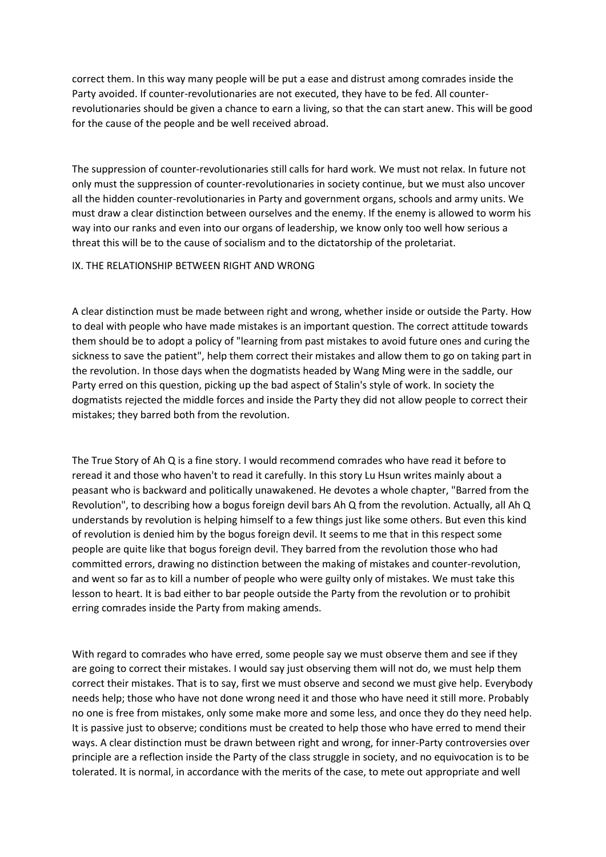correct them. In this way many people will be put a ease and distrust among comrades inside the Party avoided. If counter-revolutionaries are not executed, they have to be fed. All counterrevolutionaries should be given a chance to earn a living, so that the can start anew. This will be good for the cause of the people and be well received abroad.

The suppression of counter-revolutionaries still calls for hard work. We must not relax. In future not only must the suppression of counter-revolutionaries in society continue, but we must also uncover all the hidden counter-revolutionaries in Party and government organs, schools and army units. We must draw a clear distinction between ourselves and the enemy. If the enemy is allowed to worm his way into our ranks and even into our organs of leadership, we know only too well how serious a threat this will be to the cause of socialism and to the dictatorship of the proletariat.

### IX. THE RELATIONSHIP BETWEEN RIGHT AND WRONG

A clear distinction must be made between right and wrong, whether inside or outside the Party. How to deal with people who have made mistakes is an important question. The correct attitude towards them should be to adopt a policy of "learning from past mistakes to avoid future ones and curing the sickness to save the patient", help them correct their mistakes and allow them to go on taking part in the revolution. In those days when the dogmatists headed by Wang Ming were in the saddle, our Party erred on this question, picking up the bad aspect of Stalin's style of work. In society the dogmatists rejected the middle forces and inside the Party they did not allow people to correct their mistakes; they barred both from the revolution.

The True Story of Ah Q is a fine story. I would recommend comrades who have read it before to reread it and those who haven't to read it carefully. In this story Lu Hsun writes mainly about a peasant who is backward and politically unawakened. He devotes a whole chapter, "Barred from the Revolution", to describing how a bogus foreign devil bars Ah Q from the revolution. Actually, all Ah Q understands by revolution is helping himself to a few things just like some others. But even this kind of revolution is denied him by the bogus foreign devil. It seems to me that in this respect some people are quite like that bogus foreign devil. They barred from the revolution those who had committed errors, drawing no distinction between the making of mistakes and counter-revolution, and went so far as to kill a number of people who were guilty only of mistakes. We must take this lesson to heart. It is bad either to bar people outside the Party from the revolution or to prohibit erring comrades inside the Party from making amends.

With regard to comrades who have erred, some people say we must observe them and see if they are going to correct their mistakes. I would say just observing them will not do, we must help them correct their mistakes. That is to say, first we must observe and second we must give help. Everybody needs help; those who have not done wrong need it and those who have need it still more. Probably no one is free from mistakes, only some make more and some less, and once they do they need help. It is passive just to observe; conditions must be created to help those who have erred to mend their ways. A clear distinction must be drawn between right and wrong, for inner-Party controversies over principle are a reflection inside the Party of the class struggle in society, and no equivocation is to be tolerated. It is normal, in accordance with the merits of the case, to mete out appropriate and well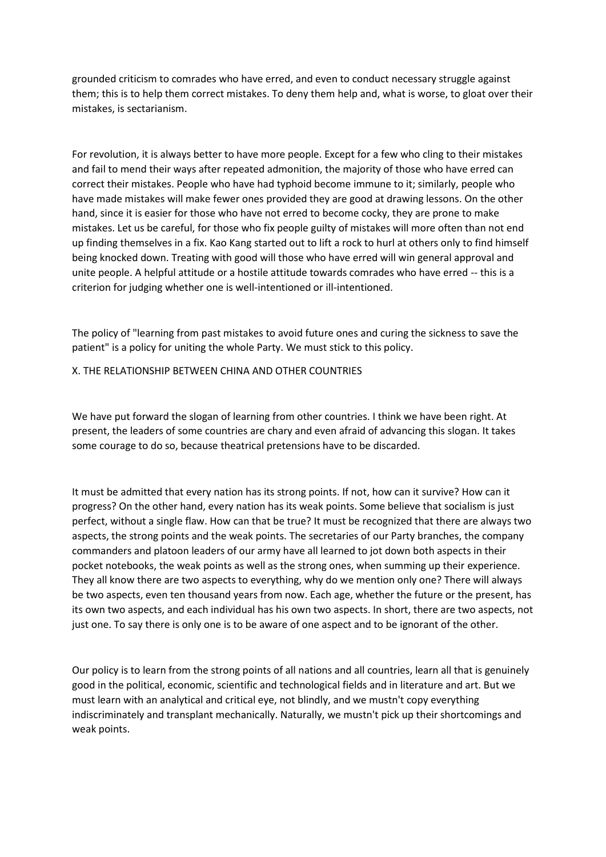grounded criticism to comrades who have erred, and even to conduct necessary struggle against them; this is to help them correct mistakes. To deny them help and, what is worse, to gloat over their mistakes, is sectarianism.

For revolution, it is always better to have more people. Except for a few who cling to their mistakes and fail to mend their ways after repeated admonition, the majority of those who have erred can correct their mistakes. People who have had typhoid become immune to it; similarly, people who have made mistakes will make fewer ones provided they are good at drawing lessons. On the other hand, since it is easier for those who have not erred to become cocky, they are prone to make mistakes. Let us be careful, for those who fix people guilty of mistakes will more often than not end up finding themselves in a fix. Kao Kang started out to lift a rock to hurl at others only to find himself being knocked down. Treating with good will those who have erred will win general approval and unite people. A helpful attitude or a hostile attitude towards comrades who have erred -- this is a criterion for judging whether one is well-intentioned or ill-intentioned.

The policy of "learning from past mistakes to avoid future ones and curing the sickness to save the patient" is a policy for uniting the whole Party. We must stick to this policy.

## X. THE RELATIONSHIP BETWEEN CHINA AND OTHER COUNTRIES

We have put forward the slogan of learning from other countries. I think we have been right. At present, the leaders of some countries are chary and even afraid of advancing this slogan. It takes some courage to do so, because theatrical pretensions have to be discarded.

It must be admitted that every nation has its strong points. If not, how can it survive? How can it progress? On the other hand, every nation has its weak points. Some believe that socialism is just perfect, without a single flaw. How can that be true? It must be recognized that there are always two aspects, the strong points and the weak points. The secretaries of our Party branches, the company commanders and platoon leaders of our army have all learned to jot down both aspects in their pocket notebooks, the weak points as well as the strong ones, when summing up their experience. They all know there are two aspects to everything, why do we mention only one? There will always be two aspects, even ten thousand years from now. Each age, whether the future or the present, has its own two aspects, and each individual has his own two aspects. In short, there are two aspects, not just one. To say there is only one is to be aware of one aspect and to be ignorant of the other.

Our policy is to learn from the strong points of all nations and all countries, learn all that is genuinely good in the political, economic, scientific and technological fields and in literature and art. But we must learn with an analytical and critical eye, not blindly, and we mustn't copy everything indiscriminately and transplant mechanically. Naturally, we mustn't pick up their shortcomings and weak points.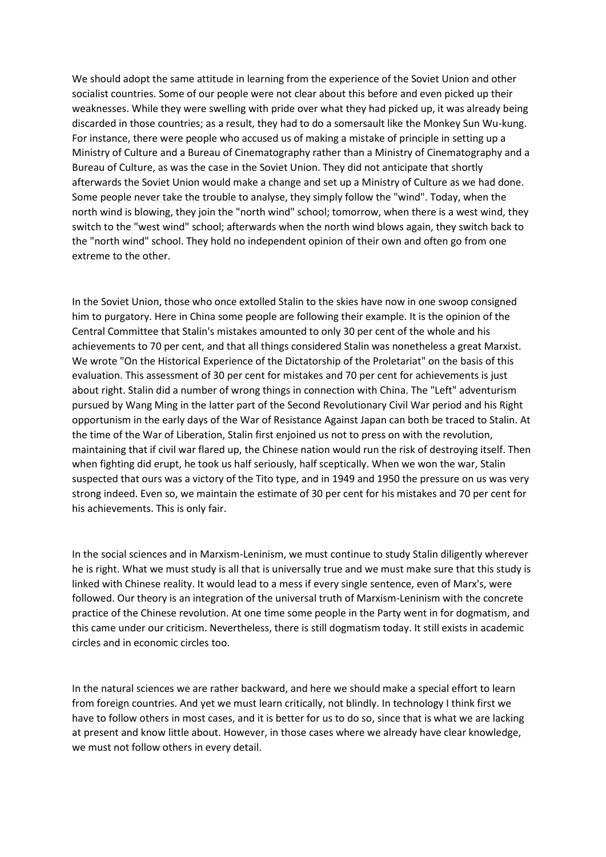We should adopt the same attitude in learning from the experience of the Soviet Union and other socialist countries. Some of our people were not clear about this before and even picked up their weaknesses. While they were swelling with pride over what they had picked up, it was already being discarded in those countries; as a result, they had to do a somersault like the Monkey Sun Wu-kung. For instance, there were people who accused us of making a mistake of principle in setting up a Ministry of Culture and a Bureau of Cinematography rather than a Ministry of Cinematography and a Bureau of Culture, as was the case in the Soviet Union. They did not anticipate that shortly afterwards the Soviet Union would make a change and set up a Ministry of Culture as we had done. Some people never take the trouble to analyse, they simply follow the "wind". Today, when the north wind is blowing, they join the "north wind" school; tomorrow, when there is a west wind, they switch to the "west wind" school; afterwards when the north wind blows again, they switch back to the "north wind" school. They hold no independent opinion of their own and often go from one extreme to the other.

In the Soviet Union, those who once extolled Stalin to the skies have now in one swoop consigned him to purgatory. Here in China some people are following their example. It is the opinion of the Central Committee that Stalin's mistakes amounted to only 30 per cent of the whole and his achievements to 70 per cent, and that all things considered Stalin was nonetheless a great Marxist. We wrote "On the Historical Experience of the Dictatorship of the Proletariat" on the basis of this evaluation. This assessment of 30 per cent for mistakes and 70 per cent for achievements is just about right. Stalin did a number of wrong things in connection with China. The "Left" adventurism pursued by Wang Ming in the latter part of the Second Revolutionary Civil War period and his Right opportunism in the early days of the War of Resistance Against Japan can both be traced to Stalin. At the time of the War of Liberation, Stalin first enjoined us not to press on with the revolution, maintaining that if civil war flared up, the Chinese nation would run the risk of destroying itself. Then when fighting did erupt, he took us half seriously, half sceptically. When we won the war, Stalin suspected that ours was a victory of the Tito type, and in 1949 and 1950 the pressure on us was very strong indeed. Even so, we maintain the estimate of 30 per cent for his mistakes and 70 per cent for his achievements. This is only fair.

In the social sciences and in Marxism-Leninism, we must continue to study Stalin diligently wherever he is right. What we must study is all that is universally true and we must make sure that this study is linked with Chinese reality. It would lead to a mess if every single sentence, even of Marx's, were followed. Our theory is an integration of the universal truth of Marxism-Leninism with the concrete practice of the Chinese revolution. At one time some people in the Party went in for dogmatism, and this came under our criticism. Nevertheless, there is still dogmatism today. It still exists in academic circles and in economic circles too.

In the natural sciences we are rather backward, and here we should make a special effort to learn from foreign countries. And yet we must learn critically, not blindly. In technology I think first we have to follow others in most cases, and it is better for us to do so, since that is what we are lacking at present and know little about. However, in those cases where we already have clear knowledge, we must not follow others in every detail.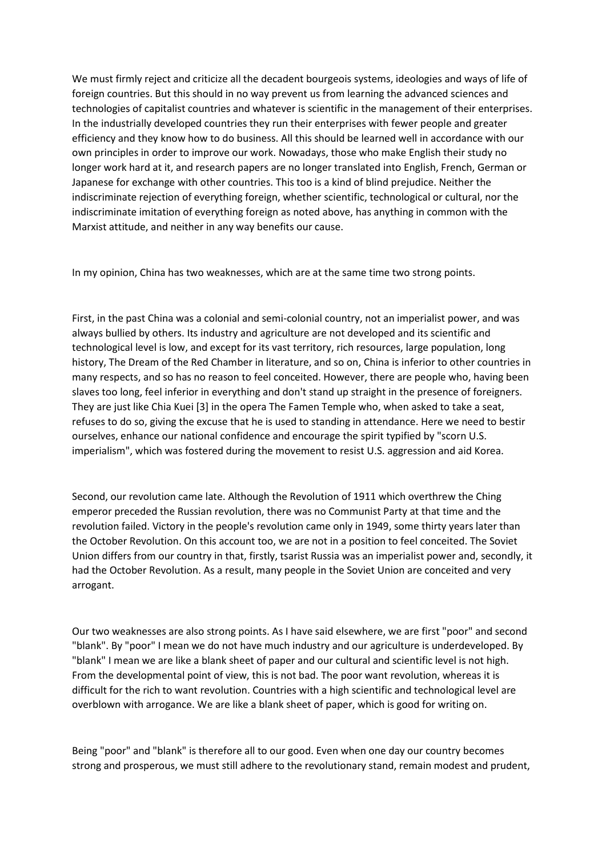We must firmly reject and criticize all the decadent bourgeois systems, ideologies and ways of life of foreign countries. But this should in no way prevent us from learning the advanced sciences and technologies of capitalist countries and whatever is scientific in the management of their enterprises. In the industrially developed countries they run their enterprises with fewer people and greater efficiency and they know how to do business. All this should be learned well in accordance with our own principles in order to improve our work. Nowadays, those who make English their study no longer work hard at it, and research papers are no longer translated into English, French, German or Japanese for exchange with other countries. This too is a kind of blind prejudice. Neither the indiscriminate rejection of everything foreign, whether scientific, technological or cultural, nor the indiscriminate imitation of everything foreign as noted above, has anything in common with the Marxist attitude, and neither in any way benefits our cause.

In my opinion, China has two weaknesses, which are at the same time two strong points.

First, in the past China was a colonial and semi-colonial country, not an imperialist power, and was always bullied by others. Its industry and agriculture are not developed and its scientific and technological level is low, and except for its vast territory, rich resources, large population, long history, The Dream of the Red Chamber in literature, and so on, China is inferior to other countries in many respects, and so has no reason to feel conceited. However, there are people who, having been slaves too long, feel inferior in everything and don't stand up straight in the presence of foreigners. They are just like Chia Kuei [3] in the opera The Famen Temple who, when asked to take a seat, refuses to do so, giving the excuse that he is used to standing in attendance. Here we need to bestir ourselves, enhance our national confidence and encourage the spirit typified by "scorn U.S. imperialism", which was fostered during the movement to resist U.S. aggression and aid Korea.

Second, our revolution came late. Although the Revolution of 1911 which overthrew the Ching emperor preceded the Russian revolution, there was no Communist Party at that time and the revolution failed. Victory in the people's revolution came only in 1949, some thirty years later than the October Revolution. On this account too, we are not in a position to feel conceited. The Soviet Union differs from our country in that, firstly, tsarist Russia was an imperialist power and, secondly, it had the October Revolution. As a result, many people in the Soviet Union are conceited and very arrogant.

Our two weaknesses are also strong points. As I have said elsewhere, we are first "poor" and second "blank". By "poor" I mean we do not have much industry and our agriculture is underdeveloped. By "blank" I mean we are like a blank sheet of paper and our cultural and scientific level is not high. From the developmental point of view, this is not bad. The poor want revolution, whereas it is difficult for the rich to want revolution. Countries with a high scientific and technological level are overblown with arrogance. We are like a blank sheet of paper, which is good for writing on.

Being "poor" and "blank" is therefore all to our good. Even when one day our country becomes strong and prosperous, we must still adhere to the revolutionary stand, remain modest and prudent,